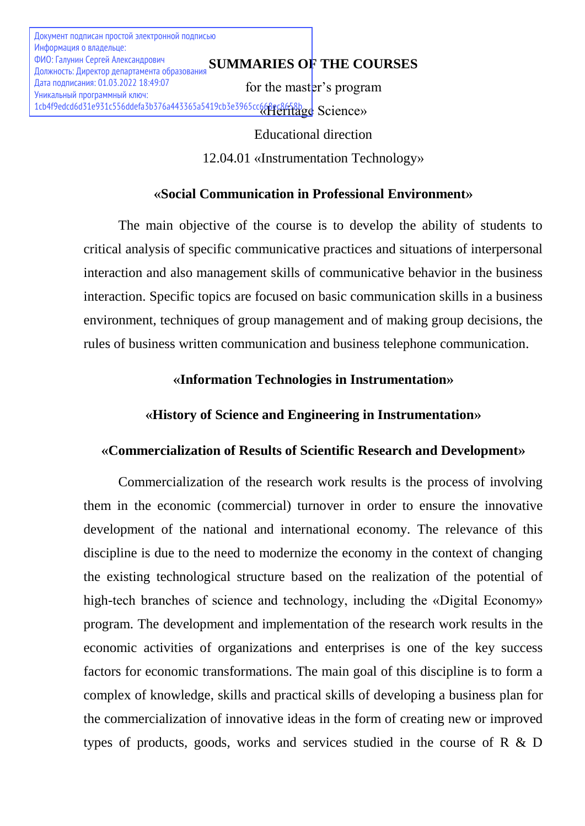Документ подписан простой электронной подписью Информация о владельце: Должность: Директор департамента образования Дата подписания: 01.03.2022 18:49:07 Уникальный программный ключ:

# **SUMMARIES OF THE COURSES** ФИО: Галунин Сергей Александрович

for the master's program 1cb4f9edcd6d31e931c556ddefa3b376a443365a5419cb3e3965cc668ec8658b<sub>g</sub>eC658bgge Science>>

> Educational direction 12.04.01 «Instrumentation Technology»

# **«Social Communication in Professional Environment»**

The main objective of the course is to develop the ability of students to critical analysis of specific communicative practices and situations of interpersonal interaction and also management skills of communicative behavior in the business interaction. Specific topics are focused on basic communication skills in a business environment, techniques of group management and of making group decisions, the rules of business written communication and business telephone communication.

# **«Information Technologies in Instrumentation»**

# **«History of Science and Engineering in Instrumentation»**

# **«Commercialization of Results of Scientific Research and Development»**

Commercialization of the research work results is the process of involving them in the economic (commercial) turnover in order to ensure the innovative development of the national and international economy. The relevance of this discipline is due to the need to modernize the economy in the context of changing the existing technological structure based on the realization of the potential of high-tech branches of science and technology, including the «Digital Economy» program. The development and implementation of the research work results in the economic activities of organizations and enterprises is one of the key success factors for economic transformations. The main goal of this discipline is to form a complex of knowledge, skills and practical skills of developing a business plan for the commercialization of innovative ideas in the form of creating new or improved types of products, goods, works and services studied in the course of R & D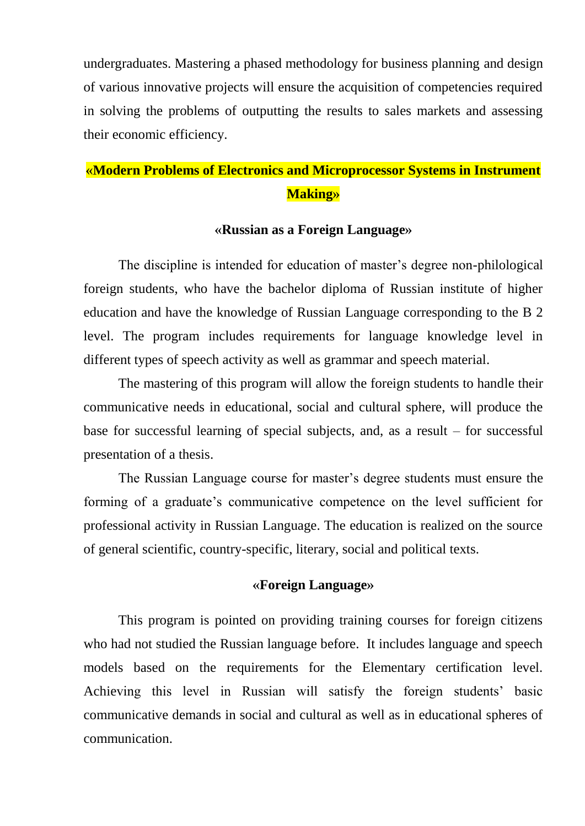undergraduates. Mastering a phased methodology for business planning and design of various innovative projects will ensure the acquisition of competencies required in solving the problems of outputting the results to sales markets and assessing their economic efficiency.

# **«Modern Problems of Electronics and Microprocessor Systems in Instrument Making»**

### **«Russian as a Foreign Language»**

The discipline is intended for education of master's degree non-philological foreign students, who have the bachelor diploma of Russian institute of higher education and have the knowledge of Russian Language corresponding to the B 2 level. The program includes requirements for language knowledge level in different types of speech activity as well as grammar and speech material.

The mastering of this program will allow the foreign students to handle their communicative needs in educational, social and cultural sphere, will produce the base for successful learning of special subjects, and, as a result – for successful presentation of a thesis.

The Russian Language course for master's degree students must ensure the forming of a graduate's communicative competence on the level sufficient for professional activity in Russian Language. The education is realized on the source of general scientific, country-specific, literary, social and political texts.

### **«Foreign Language»**

This program is pointed on providing training courses for foreign citizens who had not studied the Russian language before. It includes language and speech models based on the requirements for the Elementary certification level. Achieving this level in Russian will satisfy the foreign students' basic communicative demands in social and cultural as well as in educational spheres of communication.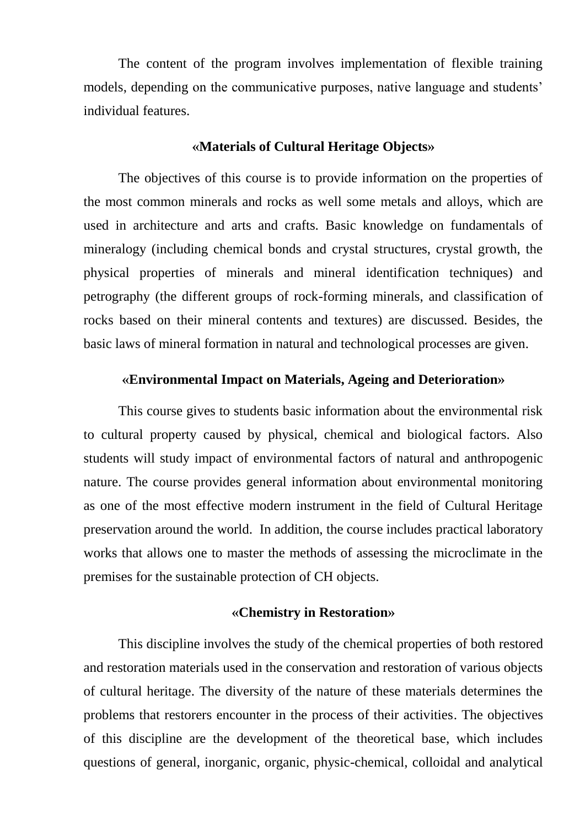The content of the program involves implementation of flexible training models, depending on the communicative purposes, native language and students' individual features.

### **«Materials of Cultural Heritage Objects»**

The objectives of this course is to provide information on the properties of the most common minerals and rocks as well some metals and alloys, which are used in architecture and arts and crafts. Basic knowledge on fundamentals of mineralogy (including chemical bonds and crystal structures, crystal growth, the physical properties of minerals and mineral identification techniques) and petrography (the different groups of rock-forming minerals, and classification of rocks based on their mineral contents and textures) are discussed. Besides, the basic laws of mineral formation in natural and technological processes are given.

### **«Environmental Impact on Materials, Ageing and Deterioration»**

This course gives to students basic information about the environmental risk to cultural property caused by physical, chemical and biological factors. Also students will study impact of environmental factors of natural and anthropogenic nature. The course provides general information about environmental monitoring as one of the most effective modern instrument in the field of Cultural Heritage preservation around the world. In addition, the course includes practical laboratory works that allows one to master the methods of assessing the microclimate in the premises for the sustainable protection of CH objects.

### **«Chemistry in Restoration»**

This discipline involves the study of the chemical properties of both restored and restoration materials used in the conservation and restoration of various objects of cultural heritage. The diversity of the nature of these materials determines the problems that restorers encounter in the process of their activities. The objectives of this discipline are the development of the theoretical base, which includes questions of general, inorganic, organic, physic-chemical, colloidal and analytical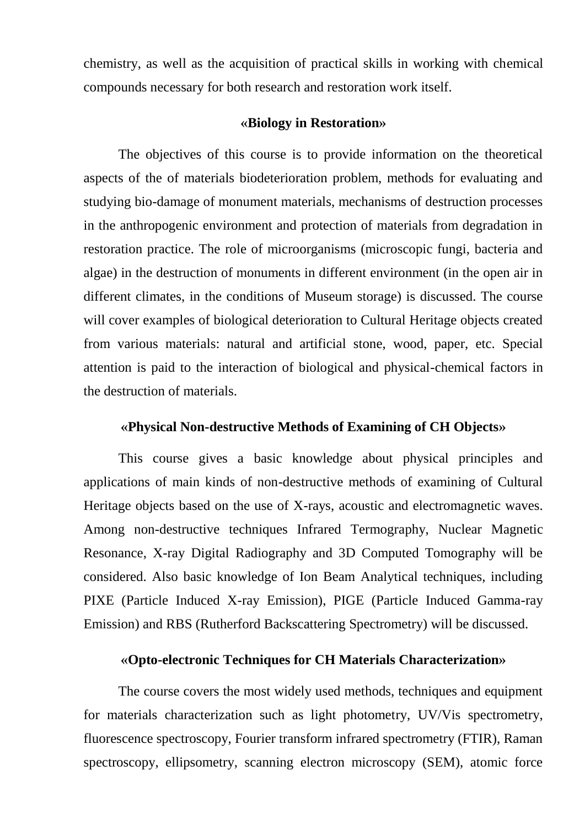chemistry, as well as the acquisition of practical skills in working with chemical compounds necessary for both research and restoration work itself.

### **«Biology in Restoration»**

The objectives of this course is to provide information on the theoretical aspects of the of materials biodeterioration problem, methods for evaluating and studying bio-damage of monument materials, mechanisms of destruction processes in the anthropogenic environment and protection of materials from degradation in restoration practice. The role of microorganisms (microscopic fungi, bacteria and algae) in the destruction of monuments in different environment (in the open air in different climates, in the conditions of Museum storage) is discussed. The course will cover examples of biological deterioration to Cultural Heritage objects created from various materials: natural and artificial stone, wood, paper, etc. Special attention is paid to the interaction of biological and physical-chemical factors in the destruction of materials.

### **«Physical Non-destructive Methods of Examining of CH Objects»**

This course gives a basic knowledge about physical principles and applications of main kinds of non-destructive methods of examining of Cultural Heritage objects based on the use of X-rays, acoustic and electromagnetic waves. Among non-destructive techniques Infrared Termography, Nuclear Magnetic Resonance, X-ray Digital Radiography and 3D Computed Tomography will be considered. Also basic knowledge of Ion Beam Analytical techniques, including PIXE (Particle Induced X-ray Emission), PIGE (Particle Induced Gamma-ray Emission) and RBS (Rutherford Backscattering Spectrometry) will be discussed.

# **«Opto-electronic Techniques for CH Materials Characterization»**

The course covers the most widely used methods, techniques and equipment for materials characterization such as light photometry, UV/Vis spectrometry, fluorescence spectroscopy, Fourier transform infrared spectrometry (FTIR), Raman spectroscopy, ellipsometry, scanning electron microscopy (SEM), atomic force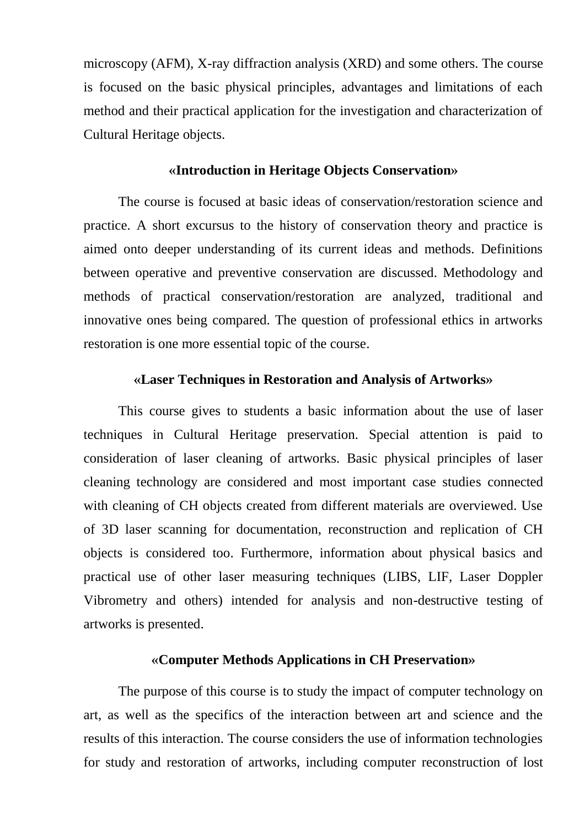microscopy (AFM), X-ray diffraction analysis (XRD) and some others. The course is focused on the basic physical principles, advantages and limitations of each method and their practical application for the investigation and characterization of Cultural Heritage objects.

### **«Introduction in Heritage Objects Conservation»**

The course is focused at basic ideas of conservation/restoration science and practice. A short excursus to the history of conservation theory and practice is aimed onto deeper understanding of its current ideas and methods. Definitions between operative and preventive conservation are discussed. Methodology and methods of practical conservation/restoration are analyzed, traditional and innovative ones being compared. The question of professional ethics in artworks restoration is one more essential topic of the course.

#### **«Laser Techniques in Restoration and Analysis of Artworks»**

This course gives to students a basic information about the use of laser techniques in Cultural Heritage preservation. Special attention is paid to consideration of laser cleaning of artworks. Basic physical principles of laser cleaning technology are considered and most important case studies connected with cleaning of CH objects created from different materials are overviewed. Use of 3D laser scanning for documentation, reconstruction and replication of CH objects is considered too. Furthermore, information about physical basics and practical use of other laser measuring techniques (LIBS, LIF, Laser Doppler Vibrometry and others) intended for analysis and non-destructive testing of artworks is presented.

### **«Computer Methods Applications in CH Preservation»**

The purpose of this course is to study the impact of computer technology on art, as well as the specifics of the interaction between art and science and the results of this interaction. The course considers the use of information technologies for study and restoration of artworks, including computer reconstruction of lost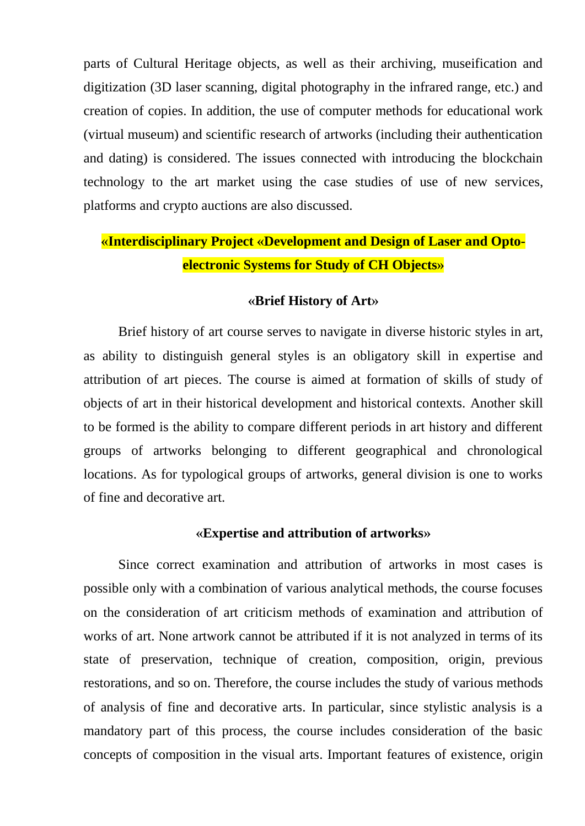parts of Cultural Heritage objects, as well as their archiving, museification and digitization (3D laser scanning, digital photography in the infrared range, etc.) and creation of copies. In addition, the use of computer methods for educational work (virtual museum) and scientific research of artworks (including their authentication and dating) is considered. The issues connected with introducing the blockchain technology to the art market using the case studies of use of new services, platforms and crypto auctions are also discussed.

# **«Interdisciplinary Project «Development and Design of Laser and Optoelectronic Systems for Study of CH Objects»**

### **«Brief History of Art»**

Brief history of art course serves to navigate in diverse historic styles in art, as ability to distinguish general styles is an obligatory skill in expertise and attribution of art pieces. The course is aimed at formation of skills of study of objects of art in their historical development and historical contexts. Another skill to be formed is the ability to compare different periods in art history and different groups of artworks belonging to different geographical and chronological locations. As for typological groups of artworks, general division is one to works of fine and decorative art.

### **«Expertise and attribution of artworks»**

Since correct examination and attribution of artworks in most cases is possible only with a combination of various analytical methods, the course focuses on the consideration of art criticism methods of examination and attribution of works of art. None artwork cannot be attributed if it is not analyzed in terms of its state of preservation, technique of creation, composition, origin, previous restorations, and so on. Therefore, the course includes the study of various methods of analysis of fine and decorative arts. In particular, since stylistic analysis is a mandatory part of this process, the course includes consideration of the basic concepts of composition in the visual arts. Important features of existence, origin